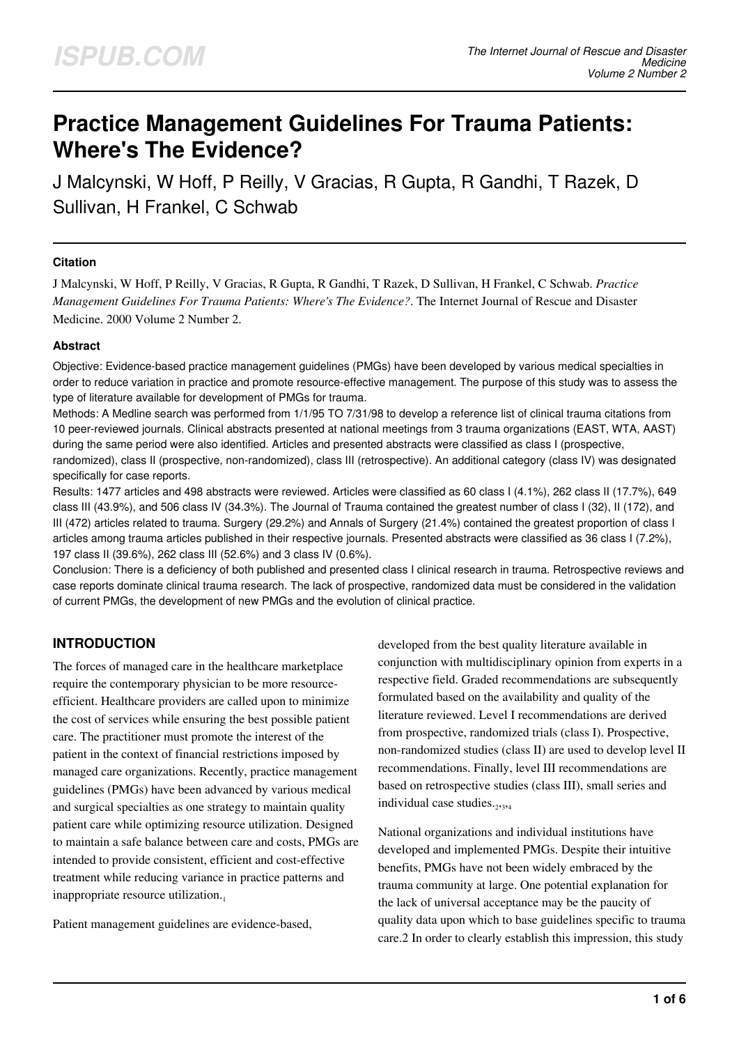# **Practice Management Guidelines For Trauma Patients: Where's The Evidence?**

J Malcynski, W Hoff, P Reilly, V Gracias, R Gupta, R Gandhi, T Razek, D Sullivan, H Frankel, C Schwab

## **Citation**

J Malcynski, W Hoff, P Reilly, V Gracias, R Gupta, R Gandhi, T Razek, D Sullivan, H Frankel, C Schwab. *Practice Management Guidelines For Trauma Patients: Where's The Evidence?*. The Internet Journal of Rescue and Disaster Medicine. 2000 Volume 2 Number 2.

#### **Abstract**

Objective: Evidence-based practice management guidelines (PMGs) have been developed by various medical specialties in order to reduce variation in practice and promote resource-effective management. The purpose of this study was to assess the type of literature available for development of PMGs for trauma.

Methods: A Medline search was performed from 1/1/95 TO 7/31/98 to develop a reference list of clinical trauma citations from 10 peer-reviewed journals. Clinical abstracts presented at national meetings from 3 trauma organizations (EAST, WTA, AAST) during the same period were also identified. Articles and presented abstracts were classified as class I (prospective, randomized), class II (prospective, non-randomized), class III (retrospective). An additional category (class IV) was designated specifically for case reports.

Results: 1477 articles and 498 abstracts were reviewed. Articles were classified as 60 class I (4.1%), 262 class II (17.7%), 649 class III (43.9%), and 506 class IV (34.3%). The Journal of Trauma contained the greatest number of class I (32), II (172), and III (472) articles related to trauma. Surgery (29.2%) and Annals of Surgery (21.4%) contained the greatest proportion of class I articles among trauma articles published in their respective journals. Presented abstracts were classified as 36 class I (7.2%), 197 class II (39.6%), 262 class III (52.6%) and 3 class IV (0.6%).

Conclusion: There is a deficiency of both published and presented class I clinical research in trauma. Retrospective reviews and case reports dominate clinical trauma research. The lack of prospective, randomized data must be considered in the validation of current PMGs, the development of new PMGs and the evolution of clinical practice.

# **INTRODUCTION**

The forces of managed care in the healthcare marketplace require the contemporary physician to be more resourceefficient. Healthcare providers are called upon to minimize the cost of services while ensuring the best possible patient care. The practitioner must promote the interest of the patient in the context of financial restrictions imposed by managed care organizations. Recently, practice management guidelines (PMGs) have been advanced by various medical and surgical specialties as one strategy to maintain quality patient care while optimizing resource utilization. Designed to maintain a safe balance between care and costs, PMGs are intended to provide consistent, efficient and cost-effective treatment while reducing variance in practice patterns and inappropriate resource utilization.

Patient management guidelines are evidence-based,

developed from the best quality literature available in conjunction with multidisciplinary opinion from experts in a respective field. Graded recommendations are subsequently formulated based on the availability and quality of the literature reviewed. Level I recommendations are derived from prospective, randomized trials (class I). Prospective, non-randomized studies (class II) are used to develop level II recommendations. Finally, level III recommendations are based on retrospective studies (class III), small series and individual case studies.<sub>2,3,4</sub>

National organizations and individual institutions have developed and implemented PMGs. Despite their intuitive benefits, PMGs have not been widely embraced by the trauma community at large. One potential explanation for the lack of universal acceptance may be the paucity of quality data upon which to base guidelines specific to trauma care.2 In order to clearly establish this impression, this study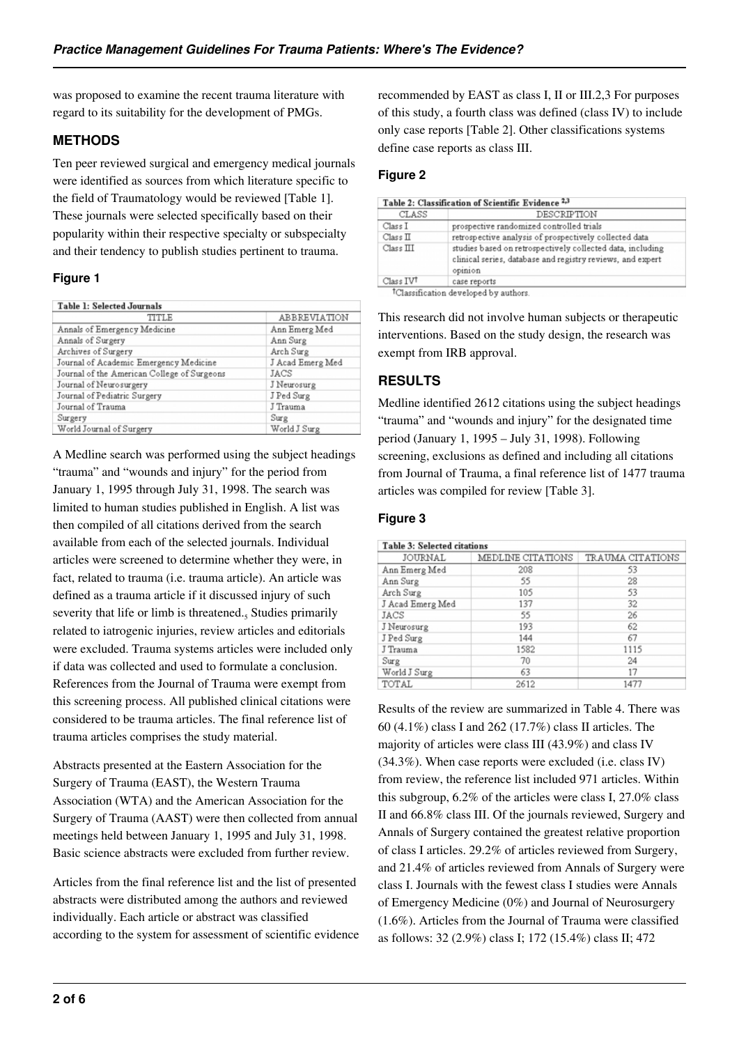was proposed to examine the recent trauma literature with regard to its suitability for the development of PMGs.

# **METHODS**

Ten peer reviewed surgical and emergency medical journals were identified as sources from which literature specific to the field of Traumatology would be reviewed [Table 1]. These journals were selected specifically based on their popularity within their respective specialty or subspecialty and their tendency to publish studies pertinent to trauma.

## **Figure 1**

| TITLE                                       | ABBREVIATION     |  |  |
|---------------------------------------------|------------------|--|--|
| Annals of Emergency Medicine                | Ann Emerg Med    |  |  |
| Annals of Surgery                           | Ann Surg         |  |  |
| Archives of Surgery                         | Arch Surg        |  |  |
| Journal of Academic Emergency Medicine      | J Acad Emerg Med |  |  |
| Journal of the American College of Surgeons | JACS             |  |  |
| Journal of Neurosurgery                     | J Neurosurg      |  |  |
| Journal of Pediatric Surgery                | J Ped Surg       |  |  |
| Journal of Trauma                           | J Trauma         |  |  |
| Surgery                                     | Surg             |  |  |
| World Journal of Surgery                    | World J Surg     |  |  |

A Medline search was performed using the subject headings "trauma" and "wounds and injury" for the period from January 1, 1995 through July 31, 1998. The search was limited to human studies published in English. A list was then compiled of all citations derived from the search available from each of the selected journals. Individual articles were screened to determine whether they were, in fact, related to trauma (i.e. trauma article). An article was defined as a trauma article if it discussed injury of such severity that life or limb is threatened.<sub>5</sub> Studies primarily related to iatrogenic injuries, review articles and editorials were excluded. Trauma systems articles were included only if data was collected and used to formulate a conclusion. References from the Journal of Trauma were exempt from this screening process. All published clinical citations were considered to be trauma articles. The final reference list of trauma articles comprises the study material.

Abstracts presented at the Eastern Association for the Surgery of Trauma (EAST), the Western Trauma Association (WTA) and the American Association for the Surgery of Trauma (AAST) were then collected from annual meetings held between January 1, 1995 and July 31, 1998. Basic science abstracts were excluded from further review.

Articles from the final reference list and the list of presented abstracts were distributed among the authors and reviewed individually. Each article or abstract was classified according to the system for assessment of scientific evidence recommended by EAST as class I, II or III.2,3 For purposes of this study, a fourth class was defined (class IV) to include only case reports [Table 2]. Other classifications systems define case reports as class III.

# **Figure 2**

| CLASS     | DESCRIPTION                                                                                                                         |
|-----------|-------------------------------------------------------------------------------------------------------------------------------------|
| Class I   | prospective randomized controlled trials                                                                                            |
| Class II  | retrospective analysis of prospectively collected data                                                                              |
| Class III | studies based on retrospectively collected data, including<br>clinical series, database and registry reviews, and expert<br>opinion |
| Class IVT | case reports                                                                                                                        |

Classification developed by authors

This research did not involve human subjects or therapeutic interventions. Based on the study design, the research was exempt from IRB approval.

# **RESULTS**

Medline identified 2612 citations using the subject headings "trauma" and "wounds and injury" for the designated time period (January 1, 1995 – July 31, 1998). Following screening, exclusions as defined and including all citations from Journal of Trauma, a final reference list of 1477 trauma articles was compiled for review [Table 3].

# **Figure 3**

| <b>Table 3: Selected citations</b> |                   |                  |  |  |
|------------------------------------|-------------------|------------------|--|--|
| JOURNAL                            | MEDLINE CITATIONS | TRAUMA CITATIONS |  |  |
| Ann Emerg Med                      | 208               | 53               |  |  |
| Ann Surg                           | 55                | 28               |  |  |
| Arch Surg                          | 105               | 53               |  |  |
| J Acad Emerg Med                   | 137               | 32               |  |  |
| JACS                               | 55                | 26               |  |  |
| J Neurosurg                        | 193               | 62               |  |  |
| J Ped Surg                         | 144               | 67               |  |  |
| J Trauma                           | 1582              | 1115             |  |  |
| Surg                               | 70                | 24               |  |  |
| World J Surg                       | 63                | 17               |  |  |
| TOTAL                              | 2612              | 1477             |  |  |

Results of the review are summarized in Table 4. There was 60 (4.1%) class I and 262 (17.7%) class II articles. The majority of articles were class III (43.9%) and class IV (34.3%). When case reports were excluded (i.e. class IV) from review, the reference list included 971 articles. Within this subgroup, 6.2% of the articles were class I, 27.0% class II and 66.8% class III. Of the journals reviewed, Surgery and Annals of Surgery contained the greatest relative proportion of class I articles. 29.2% of articles reviewed from Surgery, and 21.4% of articles reviewed from Annals of Surgery were class I. Journals with the fewest class I studies were Annals of Emergency Medicine (0%) and Journal of Neurosurgery (1.6%). Articles from the Journal of Trauma were classified as follows: 32 (2.9%) class I; 172 (15.4%) class II; 472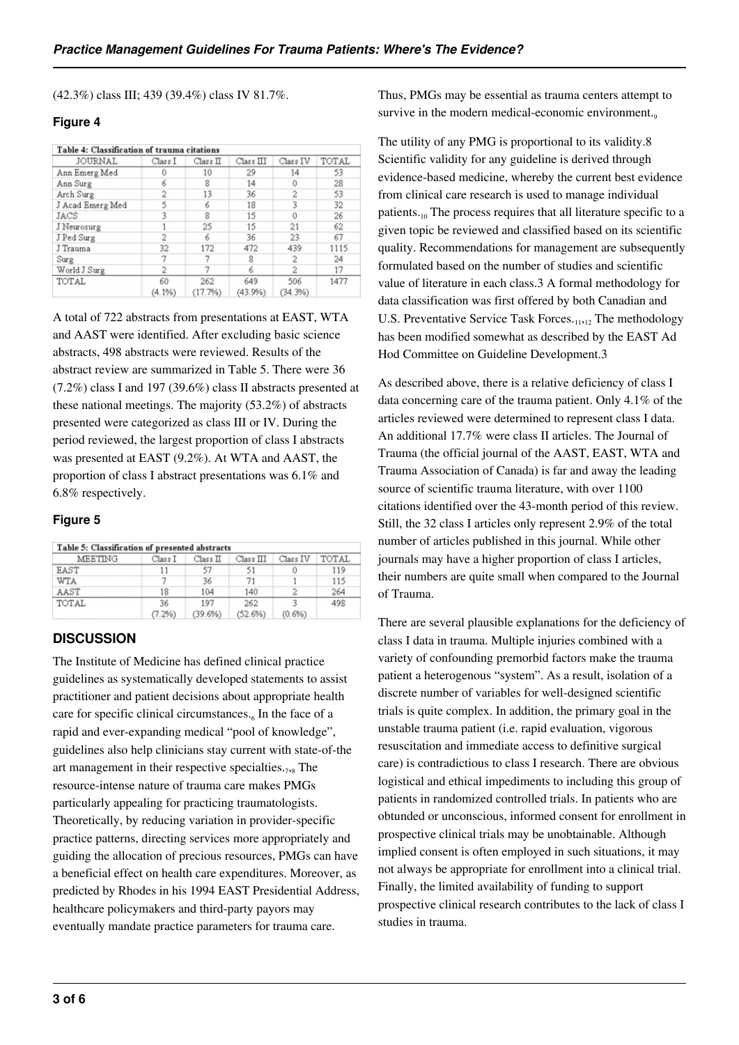(42.3%) class III; 439 (39.4%) class IV 81.7%.

#### **Figure 4**

| Table 4: Classification of trauma citations |                 |                      |                |                |       |
|---------------------------------------------|-----------------|----------------------|----------------|----------------|-------|
| JOURNAL                                     | Class I         | Class I <sub>L</sub> | Class III      | Class IV       | TOTAL |
| Ann Emerg Med                               | Û               | 10                   | 29             | 14             | 53    |
| Ann Surg                                    |                 | 8                    | 14             |                | 28    |
| Arch Surg                                   |                 | 13                   | 36             |                | 53    |
| J Acad Emerg Med                            |                 | 6                    | 18             |                | 32    |
| JACS                                        | 2               | 8                    | 15             |                | 26    |
| J Neurosurg                                 |                 | 25                   | 15             | 21             | 62    |
| J Ped Surg                                  |                 | 6                    | 36             | 23             | 67    |
| J Trauma                                    | 32              | 172                  | 472            | 439            | 1115  |
| Surg                                        |                 |                      | 8              | 2              | 24    |
| World J Surg                                |                 |                      | 6              | 2              | 17    |
| TOTAL                                       | 60<br>$(4.1\%)$ | 262<br>(17.7%)       | 649<br>(43.9%) | 506<br>(34.3%) | 1477  |

A total of 722 abstracts from presentations at EAST, WTA and AAST were identified. After excluding basic science abstracts, 498 abstracts were reviewed. Results of the abstract review are summarized in Table 5. There were 36 (7.2%) class I and 197 (39.6%) class II abstracts presented at these national meetings. The majority (53.2%) of abstracts presented were categorized as class III or IV. During the period reviewed, the largest proportion of class I abstracts was presented at EAST (9.2%). At WTA and AAST, the proportion of class I abstract presentations was 6.1% and 6.8% respectively.

#### **Figure 5**

| Table 5: Classification of presented abstracts |         |          |           |           |       |
|------------------------------------------------|---------|----------|-----------|-----------|-------|
| MEETING                                        | Class I | Class II | Class III | Class IV  | TOTAL |
| EAST                                           |         | 57       | 51        | 0         | 119   |
| <b>WTA</b>                                     |         | 36       | 71        |           | 115   |
| AAST                                           | 18      | 104      | 140       |           | 264   |
| TOTAL                                          | 36      | 197      | 262       |           | 498   |
|                                                | 7.2%    | 39.6%)   | (52.6%)   | $(0.6\%)$ |       |

## **DISCUSSION**

The Institute of Medicine has defined clinical practice guidelines as systematically developed statements to assist practitioner and patient decisions about appropriate health care for specific clinical circumstances. $_6$  In the face of a rapid and ever-expanding medical "pool of knowledge", guidelines also help clinicians stay current with state-of-the art management in their respective specialties. $_{78}$  The resource-intense nature of trauma care makes PMGs particularly appealing for practicing traumatologists. Theoretically, by reducing variation in provider-specific practice patterns, directing services more appropriately and guiding the allocation of precious resources, PMGs can have a beneficial effect on health care expenditures. Moreover, as predicted by Rhodes in his 1994 EAST Presidential Address, healthcare policymakers and third-party payors may eventually mandate practice parameters for trauma care.

Thus, PMGs may be essential as trauma centers attempt to survive in the modern medical-economic environment.<sub>9</sub>

The utility of any PMG is proportional to its validity.8 Scientific validity for any guideline is derived through evidence-based medicine, whereby the current best evidence from clinical care research is used to manage individual patients. $\mu$ <sub>0</sub> The process requires that all literature specific to a given topic be reviewed and classified based on its scientific quality. Recommendations for management are subsequently formulated based on the number of studies and scientific value of literature in each class.3 A formal methodology for data classification was first offered by both Canadian and U.S. Preventative Service Task Forces. $_{11,12}$  The methodology has been modified somewhat as described by the EAST Ad Hod Committee on Guideline Development.3

As described above, there is a relative deficiency of class I data concerning care of the trauma patient. Only 4.1% of the articles reviewed were determined to represent class I data. An additional 17.7% were class II articles. The Journal of Trauma (the official journal of the AAST, EAST, WTA and Trauma Association of Canada) is far and away the leading source of scientific trauma literature, with over 1100 citations identified over the 43-month period of this review. Still, the 32 class I articles only represent 2.9% of the total number of articles published in this journal. While other journals may have a higher proportion of class I articles, their numbers are quite small when compared to the Journal of Trauma.

There are several plausible explanations for the deficiency of class I data in trauma. Multiple injuries combined with a variety of confounding premorbid factors make the trauma patient a heterogenous "system". As a result, isolation of a discrete number of variables for well-designed scientific trials is quite complex. In addition, the primary goal in the unstable trauma patient (i.e. rapid evaluation, vigorous resuscitation and immediate access to definitive surgical care) is contradictious to class I research. There are obvious logistical and ethical impediments to including this group of patients in randomized controlled trials. In patients who are obtunded or unconscious, informed consent for enrollment in prospective clinical trials may be unobtainable. Although implied consent is often employed in such situations, it may not always be appropriate for enrollment into a clinical trial. Finally, the limited availability of funding to support prospective clinical research contributes to the lack of class I studies in trauma.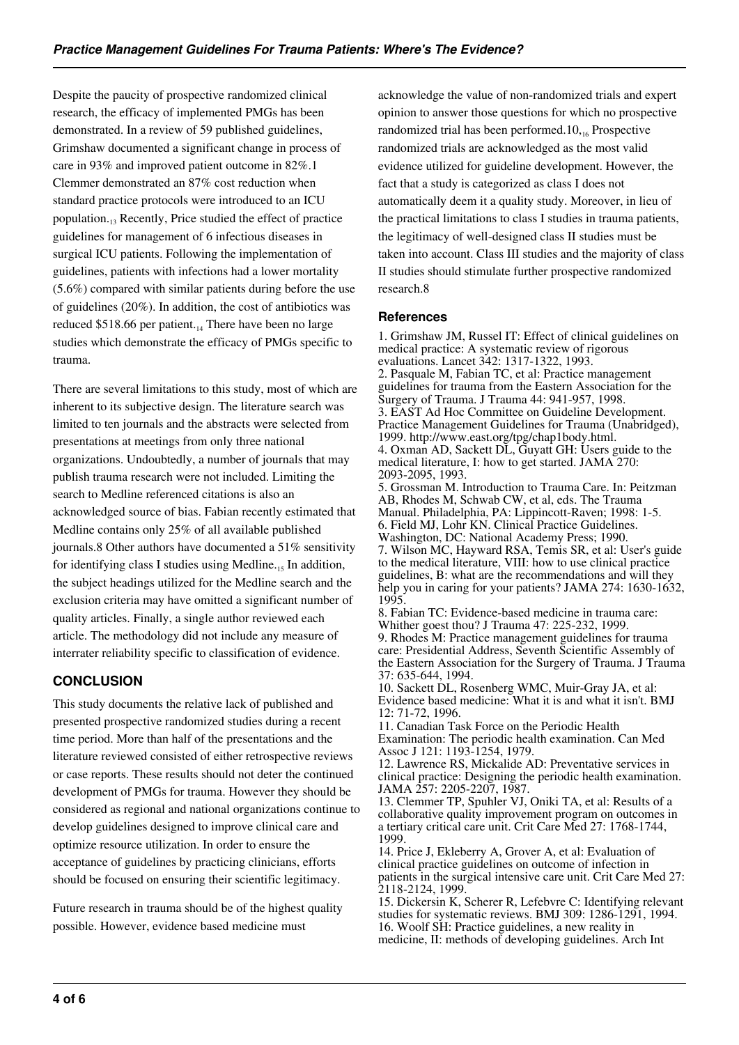Despite the paucity of prospective randomized clinical research, the efficacy of implemented PMGs has been demonstrated. In a review of 59 published guidelines, Grimshaw documented a significant change in process of care in 93% and improved patient outcome in 82%.1 Clemmer demonstrated an 87% cost reduction when standard practice protocols were introduced to an ICU population.13 Recently, Price studied the effect of practice guidelines for management of 6 infectious diseases in surgical ICU patients. Following the implementation of guidelines, patients with infections had a lower mortality (5.6%) compared with similar patients during before the use of guidelines (20%). In addition, the cost of antibiotics was reduced  $$518.66$  per patient.<sub>14</sub> There have been no large studies which demonstrate the efficacy of PMGs specific to trauma.

There are several limitations to this study, most of which are inherent to its subjective design. The literature search was limited to ten journals and the abstracts were selected from presentations at meetings from only three national organizations. Undoubtedly, a number of journals that may publish trauma research were not included. Limiting the search to Medline referenced citations is also an acknowledged source of bias. Fabian recently estimated that Medline contains only 25% of all available published journals.8 Other authors have documented a 51% sensitivity for identifying class I studies using Medline.<sub>15</sub> In addition, the subject headings utilized for the Medline search and the exclusion criteria may have omitted a significant number of quality articles. Finally, a single author reviewed each article. The methodology did not include any measure of interrater reliability specific to classification of evidence.

# **CONCLUSION**

This study documents the relative lack of published and presented prospective randomized studies during a recent time period. More than half of the presentations and the literature reviewed consisted of either retrospective reviews or case reports. These results should not deter the continued development of PMGs for trauma. However they should be considered as regional and national organizations continue to develop guidelines designed to improve clinical care and optimize resource utilization. In order to ensure the acceptance of guidelines by practicing clinicians, efforts should be focused on ensuring their scientific legitimacy.

Future research in trauma should be of the highest quality possible. However, evidence based medicine must

acknowledge the value of non-randomized trials and expert opinion to answer those questions for which no prospective randomized trial has been performed.10, $_{16}$  Prospective randomized trials are acknowledged as the most valid evidence utilized for guideline development. However, the fact that a study is categorized as class I does not automatically deem it a quality study. Moreover, in lieu of the practical limitations to class I studies in trauma patients, the legitimacy of well-designed class II studies must be taken into account. Class III studies and the majority of class II studies should stimulate further prospective randomized research.8

#### **References**

1. Grimshaw JM, Russel IT: Effect of clinical guidelines on medical practice: A systematic review of rigorous evaluations. Lancet 342: 1317-1322, 1993. 2. Pasquale M, Fabian TC, et al: Practice management guidelines for trauma from the Eastern Association for the Surgery of Trauma. J Trauma 44: 941-957, 1998. 3. EAST Ad Hoc Committee on Guideline Development. Practice Management Guidelines for Trauma (Unabridged), 1999. http://www.east.org/tpg/chap1body.html. 4. Oxman AD, Sackett DL, Guyatt GH: Users guide to the medical literature, I: how to get started. JAMA 270: 2093-2095, 1993. 5. Grossman M. Introduction to Trauma Care. In: Peitzman AB, Rhodes M, Schwab CW, et al, eds. The Trauma Manual. Philadelphia, PA: Lippincott-Raven; 1998: 1-5. 6. Field MJ, Lohr KN. Clinical Practice Guidelines.

Washington, DC: National Academy Press; 1990. 7. Wilson MC, Hayward RSA, Temis SR, et al: User's guide to the medical literature, VIII: how to use clinical practice guidelines, B: what are the recommendations and will they help you in caring for your patients? JAMA 274: 1630-1632, 1995.

8. Fabian TC: Evidence-based medicine in trauma care: Whither goest thou? J Trauma 47: 225-232, 1999. 9. Rhodes M: Practice management guidelines for trauma care: Presidential Address, Seventh Scientific Assembly of the Eastern Association for the Surgery of Trauma. J Trauma 37: 635-644, 1994.

10. Sackett DL, Rosenberg WMC, Muir-Gray JA, et al: Evidence based medicine: What it is and what it isn't. BMJ 12: 71-72, 1996.

11. Canadian Task Force on the Periodic Health Examination: The periodic health examination. Can Med Assoc J 121: 1193-1254, 1979.

12. Lawrence RS, Mickalide AD: Preventative services in clinical practice: Designing the periodic health examination. JAMA 257: 2205-2207, 1987.

13. Clemmer TP, Spuhler VJ, Oniki TA, et al: Results of a collaborative quality improvement program on outcomes in a tertiary critical care unit. Crit Care Med 27: 1768-1744, 1999.

14. Price J, Ekleberry A, Grover A, et al: Evaluation of clinical practice guidelines on outcome of infection in patients in the surgical intensive care unit. Crit Care Med 27: 2118-2124, 1999.

15. Dickersin K, Scherer R, Lefebvre C: Identifying relevant studies for systematic reviews. BMJ 309: 1286-1291, 1994. 16. Woolf SH: Practice guidelines, a new reality in medicine, II: methods of developing guidelines. Arch Int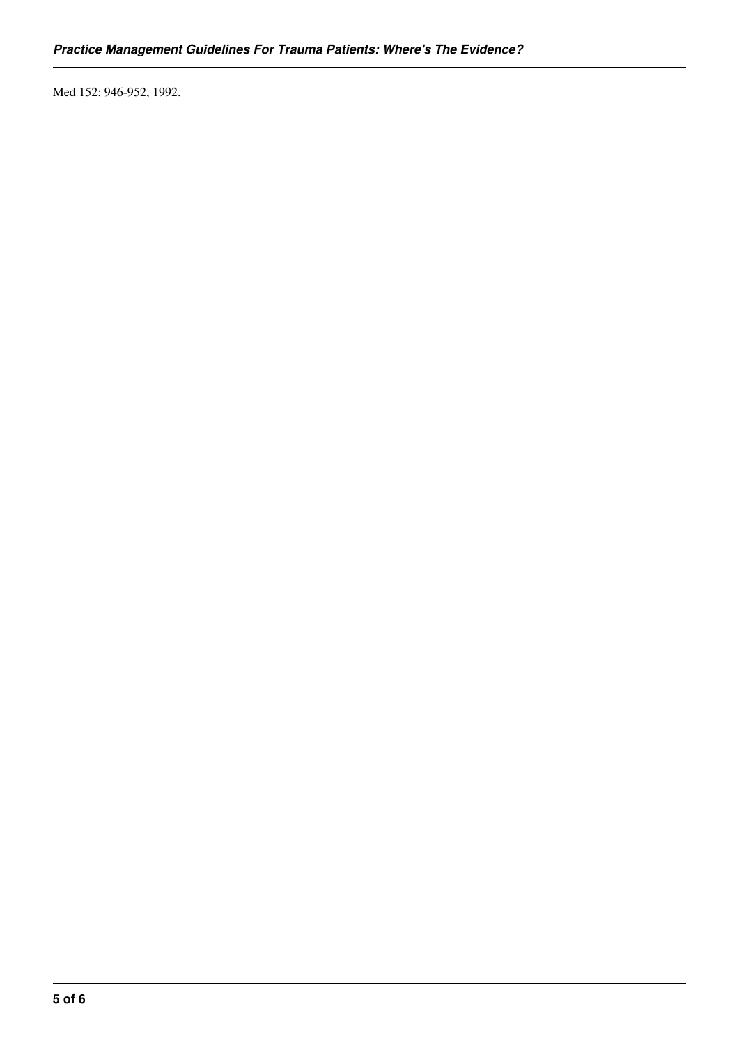Med 152: 946-952, 1992.